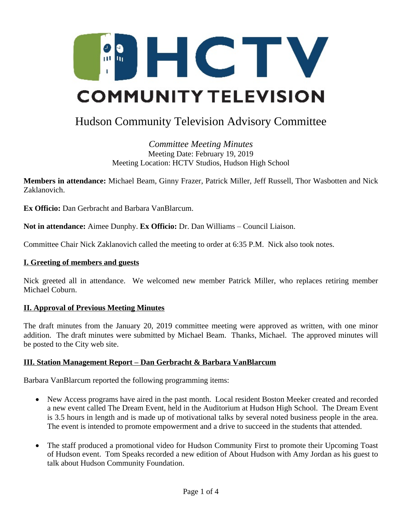

# Hudson Community Television Advisory Committee

*Committee Meeting Minutes* Meeting Date: February 19, 2019 Meeting Location: HCTV Studios, Hudson High School

**Members in attendance:** Michael Beam, Ginny Frazer, Patrick Miller, Jeff Russell, Thor Wasbotten and Nick Zaklanovich.

**Ex Officio:** Dan Gerbracht and Barbara VanBlarcum.

**Not in attendance:** Aimee Dunphy. **Ex Officio:** Dr. Dan Williams – Council Liaison.

Committee Chair Nick Zaklanovich called the meeting to order at 6:35 P.M. Nick also took notes.

#### **I. Greeting of members and guests**

Nick greeted all in attendance. We welcomed new member Patrick Miller, who replaces retiring member Michael Coburn.

## **II. Approval of Previous Meeting Minutes**

The draft minutes from the January 20, 2019 committee meeting were approved as written, with one minor addition. The draft minutes were submitted by Michael Beam. Thanks, Michael. The approved minutes will be posted to the City web site.

## **III. Station Management Report – Dan Gerbracht & Barbara VanBlarcum**

Barbara VanBlarcum reported the following programming items:

- New Access programs have aired in the past month. Local resident Boston Meeker created and recorded a new event called The Dream Event, held in the Auditorium at Hudson High School. The Dream Event is 3.5 hours in length and is made up of motivational talks by several noted business people in the area. The event is intended to promote empowerment and a drive to succeed in the students that attended.
- The staff produced a promotional video for Hudson Community First to promote their Upcoming Toast of Hudson event. Tom Speaks recorded a new edition of About Hudson with Amy Jordan as his guest to talk about Hudson Community Foundation.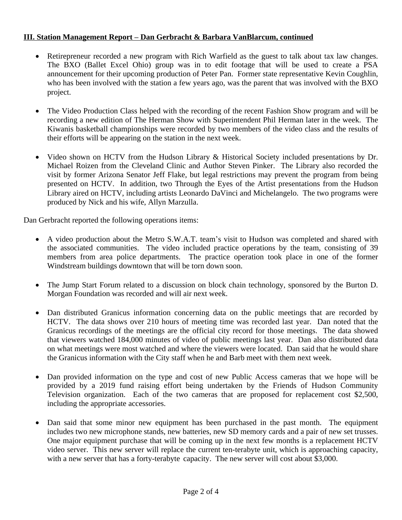# **III. Station Management Report – Dan Gerbracht & Barbara VanBlarcum, continued**

- Retirepreneur recorded a new program with Rich Warfield as the guest to talk about tax law changes. The BXO (Ballet Excel Ohio) group was in to edit footage that will be used to create a PSA announcement for their upcoming production of Peter Pan. Former state representative Kevin Coughlin, who has been involved with the station a few years ago, was the parent that was involved with the BXO project.
- The Video Production Class helped with the recording of the recent Fashion Show program and will be recording a new edition of The Herman Show with Superintendent Phil Herman later in the week. The Kiwanis basketball championships were recorded by two members of the video class and the results of their efforts will be appearing on the station in the next week.
- Video shown on HCTV from the Hudson Library & Historical Society included presentations by Dr. Michael Roizen from the Cleveland Clinic and Author Steven Pinker. The Library also recorded the visit by former Arizona Senator Jeff Flake, but legal restrictions may prevent the program from being presented on HCTV. In addition, two Through the Eyes of the Artist presentations from the Hudson Library aired on HCTV, including artists Leonardo DaVinci and Michelangelo. The two programs were produced by Nick and his wife, Allyn Marzulla.

Dan Gerbracht reported the following operations items:

- A video production about the Metro S.W.A.T. team's visit to Hudson was completed and shared with the associated communities. The video included practice operations by the team, consisting of 39 members from area police departments. The practice operation took place in one of the former Windstream buildings downtown that will be torn down soon.
- The Jump Start Forum related to a discussion on block chain technology, sponsored by the Burton D. Morgan Foundation was recorded and will air next week.
- Dan distributed Granicus information concerning data on the public meetings that are recorded by HCTV. The data shows over 210 hours of meeting time was recorded last year. Dan noted that the Granicus recordings of the meetings are the official city record for those meetings. The data showed that viewers watched 184,000 minutes of video of public meetings last year. Dan also distributed data on what meetings were most watched and where the viewers were located. Dan said that he would share the Granicus information with the City staff when he and Barb meet with them next week.
- Dan provided information on the type and cost of new Public Access cameras that we hope will be provided by a 2019 fund raising effort being undertaken by the Friends of Hudson Community Television organization. Each of the two cameras that are proposed for replacement cost \$2,500, including the appropriate accessories.
- Dan said that some minor new equipment has been purchased in the past month. The equipment includes two new microphone stands, new batteries, new SD memory cards and a pair of new set trusses. One major equipment purchase that will be coming up in the next few months is a replacement HCTV video server. This new server will replace the current ten-terabyte unit, which is approaching capacity, with a new server that has a forty-terabyte capacity. The new server will cost about \$3,000.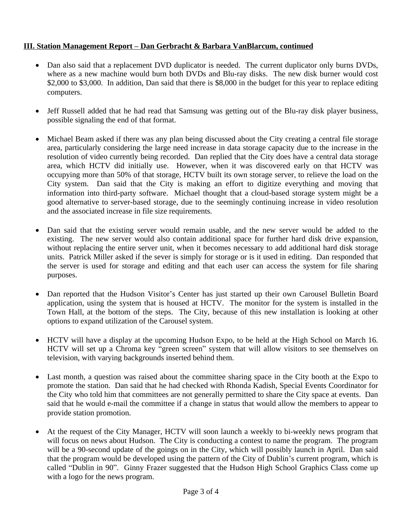# **III. Station Management Report – Dan Gerbracht & Barbara VanBlarcum, continued**

- Dan also said that a replacement DVD duplicator is needed. The current duplicator only burns DVDs, where as a new machine would burn both DVDs and Blu-ray disks. The new disk burner would cost \$2,000 to \$3,000. In addition, Dan said that there is \$8,000 in the budget for this year to replace editing computers.
- Jeff Russell added that he had read that Samsung was getting out of the Blu-ray disk player business, possible signaling the end of that format.
- Michael Beam asked if there was any plan being discussed about the City creating a central file storage area, particularly considering the large need increase in data storage capacity due to the increase in the resolution of video currently being recorded. Dan replied that the City does have a central data storage area, which HCTV did initially use. However, when it was discovered early on that HCTV was occupying more than 50% of that storage, HCTV built its own storage server, to relieve the load on the City system. Dan said that the City is making an effort to digitize everything and moving that information into third-party software. Michael thought that a cloud-based storage system might be a good alternative to server-based storage, due to the seemingly continuing increase in video resolution and the associated increase in file size requirements.
- Dan said that the existing server would remain usable, and the new server would be added to the existing. The new server would also contain additional space for further hard disk drive expansion, without replacing the entire server unit, when it becomes necessary to add additional hard disk storage units. Patrick Miller asked if the sever is simply for storage or is it used in editing. Dan responded that the server is used for storage and editing and that each user can access the system for file sharing purposes.
- Dan reported that the Hudson Visitor's Center has just started up their own Carousel Bulletin Board application, using the system that is housed at HCTV. The monitor for the system is installed in the Town Hall, at the bottom of the steps. The City, because of this new installation is looking at other options to expand utilization of the Carousel system.
- HCTV will have a display at the upcoming Hudson Expo, to be held at the High School on March 16. HCTV will set up a Chroma key "green screen" system that will allow visitors to see themselves on television, with varying backgrounds inserted behind them.
- Last month, a question was raised about the committee sharing space in the City booth at the Expo to promote the station. Dan said that he had checked with Rhonda Kadish, Special Events Coordinator for the City who told him that committees are not generally permitted to share the City space at events. Dan said that he would e-mail the committee if a change in status that would allow the members to appear to provide station promotion.
- At the request of the City Manager, HCTV will soon launch a weekly to bi-weekly news program that will focus on news about Hudson. The City is conducting a contest to name the program. The program will be a 90-second update of the goings on in the City, which will possibly launch in April. Dan said that the program would be developed using the pattern of the City of Dublin's current program, which is called "Dublin in 90". Ginny Frazer suggested that the Hudson High School Graphics Class come up with a logo for the news program.